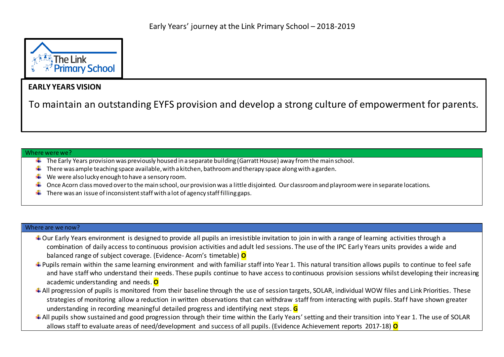

## **EARLY YEARS VISION**

To maintain an outstanding EYFS provision and develop a strong culture of empowerment for parents.

## Where were we?

- $\pm$  The Early Years provision was previously housed in a separate building (Garratt House) away from the main school.
- $\ddot{+}$  There was ample teaching space available, with a kitchen, bathroom and therapy space along with a garden.
- We were also lucky enough to have a sensory room.
- Once Acorn class moved over to the main school, our provision was a little disjointed. Our classroom and playroom were in separate locations. ÷
- There was an issue of inconsistent staff with a lot of agency staff filling gaps.

## Where are we now?

- + Our Early Years environment is designed to provide all pupils an irresistible invitation to join in with a range of learning activities through a combination of daily access to continuous provision activities and adult led sessions. The use of the IPC Early Years units provides a wide and balanced range of subject coverage. (Evidence- Acorn's timetable) **O**
- ↓ Pupils remain within the same learning environment and with familiar staff into Year 1. This natural transition allows pupils to continue to feel safe and have staff who understand their needs. These pupils continue to have access to continuous provision sessions whilst developing their increasing academic understanding and needs. **O**
- <sup>+</sup> All progression of pupils is monitored from their baseline through the use of session targets, SOLAR, individual WOW files and Link Priorities. These strategies of monitoring allow a reduction in written observations that can withdraw staff from interacting with pupils. Staff have shown greater understanding in recording meaningful detailed progress and identifying next steps. **G**
- <sup> $+$ </sup> All pupils show sustained and good progression through their time within the Early Years' setting and their transition into Year 1. The use of SOLAR allows staff to evaluate areas of need/development and success of all pupils. (Evidence Achievement reports 2017-18) **O**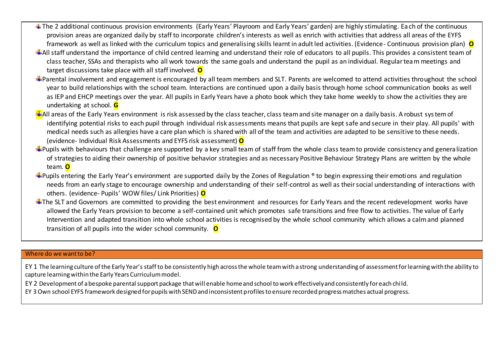- ↓ The 2 additional continuous provision environments (Early Years' Playroom and Early Years' garden) are highly stimulating. Each of the continuous provision areas are organized daily by staff to incorporate children's interests as well as enrich with activities that address all areas of the EYFS framework as well as linked with the curriculum topics and generalising skills learnt in adult led activities. (Evidence- Continuous provision plan) **O**
- All staff understand the importance of child centred learning and understand their role of educators to all pupils. This provides a consistent team of class teacher, SSAs and therapists who all work towards the same goals and understand the pupil as an individual. Regular team meetings and target discussions take place with all staff involved. **O**
- Parental involvement and engagement is encouraged by all team members and SLT. Parents are welcomed to attend activities throughout the school year to build relationships with the school team. Interactions are continued upon a daily basis through home school communication books as well as IEP and EHCP meetings over the year. All pupils in Early Years have a photo book which they take home weekly to show the activities they are undertaking at school. **G**
- $\pm$ All areas of the Early Years environment is risk assessed by the class teacher, class team and site manager on a daily basis. A robust system of identifying potential risks to each pupil through individual risk assessments means that pupils are kept safe and secure in their play. All pupils' with medical needs such as allergies have a care plan which is shared with all of the team and activities are adapted to be sensitive to these needs. (evidence- Individual Risk Assessments and EYFS risk assessment) **O**
- $\bigstar$ Pupils with behaviours that challenge are supported by a key small team of staff from the whole class team to provide consistency and generalization of strategies to aiding their ownership of positive behavior strategies and as necessary Positive Behaviour Strategy Plans are written by the whole team. **O**
- $\bigstar$ Pupils entering the Early Year's environment are supported daily by the Zones of Regulation ® to begin expressing their emotions and regulation needs from an early stage to encourage ownership and understanding of their self-control as well as their social understanding of interactions with others. (evidence- Pupils' WOW files/ Link Priorities) **O**
- The SLT and Governors are committed to providing the best environment and resources for Early Years and the recent redevelopment works have allowed the Early Years provision to become a self-contained unit which promotes safe transitions and free flow to activities. The value of Early Intervention and adapted transition into whole school activities is recognised by the whole school community which allows a calm and planned transition of all pupils into the wider school community. **O**

## Where do we want to be?

EY 1 The learning culture of the Early Year's staff to be consistently high across the whole team with a strong understanding of assessment for learning with the ability to capture learning within the Early Years Curriculum model.

EY 2 Development of a bespoke parental support package that will enable home and school to work effectively and consistently for each child.

EY 3 Own school EYFS framework designed for pupils with SEND and inconsistent profiles to ensure recorded progress matches actual progress.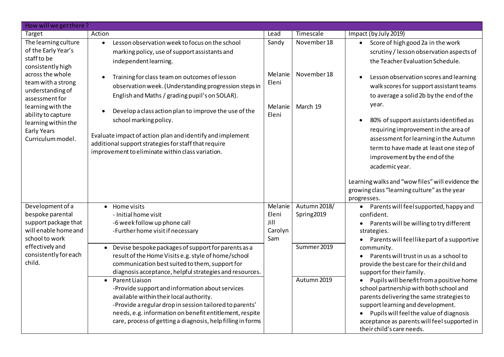| How will we get there?                                                                                                                                                                                                                                                |                                                                                                                                                                                                                                                                                                                                                                                                                                                                                                                              |                                            |                                          |                                                                                                                                                                                                                                                                                                                                                                                                                    |
|-----------------------------------------------------------------------------------------------------------------------------------------------------------------------------------------------------------------------------------------------------------------------|------------------------------------------------------------------------------------------------------------------------------------------------------------------------------------------------------------------------------------------------------------------------------------------------------------------------------------------------------------------------------------------------------------------------------------------------------------------------------------------------------------------------------|--------------------------------------------|------------------------------------------|--------------------------------------------------------------------------------------------------------------------------------------------------------------------------------------------------------------------------------------------------------------------------------------------------------------------------------------------------------------------------------------------------------------------|
| Target                                                                                                                                                                                                                                                                | Action                                                                                                                                                                                                                                                                                                                                                                                                                                                                                                                       | Lead                                       | Timescale                                | Impact (by July 2019)                                                                                                                                                                                                                                                                                                                                                                                              |
| The learning culture<br>of the Early Year's<br>staff to be<br>consistently high<br>across the whole<br>team with a strong<br>understanding of<br>assessment for<br>learning with the<br>ability to capture<br>learning within the<br>Early Years<br>Curriculum model. | Lesson observation week to focus on the school<br>$\bullet$<br>marking policy, use of support assistants and<br>independent learning.                                                                                                                                                                                                                                                                                                                                                                                        | Sandy                                      | November 18                              | Score of high good 2a in the work<br>$\bullet$<br>scrutiny / lesson observation aspects of<br>the Teacher Evaluation Schedule.                                                                                                                                                                                                                                                                                     |
|                                                                                                                                                                                                                                                                       | Training for class team on outcomes of lesson<br>observation week. (Understanding progression steps in<br>English and Maths / grading pupil's on SOLAR).<br>Develop a class action plan to improve the use of the<br>school marking policy.<br>Evaluate impact of action plan and identify and implement<br>additional support strategies for staff that require<br>improvement to eliminate within class variation.                                                                                                         | Melanie<br>Eleni<br>Melanie<br>Eleni       | November 18<br>March 19                  | Lesson observation scores and learning<br>walk scores for support assistant teams<br>to average a solid 2b by the end of the<br>year.<br>80% of support assistants identified as<br>$\bullet$<br>requiring improvement in the area of<br>assessment for learning in the Autumn<br>term to have made at least one step of<br>improvement by the end of the                                                          |
|                                                                                                                                                                                                                                                                       |                                                                                                                                                                                                                                                                                                                                                                                                                                                                                                                              |                                            |                                          | academicyear.<br>Learning walks and "wow files" will evidence the<br>growing class "learning culture" as the year<br>progresses.                                                                                                                                                                                                                                                                                   |
| Development of a<br>bespoke parental<br>support package that<br>will enable home and<br>school to work<br>effectively and<br>consistently for each<br>child.                                                                                                          | Home visits<br>$\bullet$<br>- Initial home visit<br>-6 week follow up phone call<br>-Further home visit if necessary                                                                                                                                                                                                                                                                                                                                                                                                         | Melanie<br>Eleni<br>Jill<br>Carolyn<br>Sam | Autumn 2018/<br>Spring2019               | Parents will feel supported, happy and<br>$\bullet$<br>confident.<br>Parents will be willing to try different<br>$\bullet$<br>strategies.<br>Parents will feellike part of a supportive                                                                                                                                                                                                                            |
|                                                                                                                                                                                                                                                                       | Devise bespoke packages of support for parents as a<br>result of the Home Visits e.g. style of home/school<br>communication best suited to them, support for<br>diagnosis acceptance, helpful strategies and resources.<br>Parent Liaison<br>-Provide support and information about services<br>available within their local authority.<br>-Provide a regular drop in session tailored to parents'<br>needs, e.g. information on benefit entitlement, respite<br>care, process of getting a diagnosis, help filling in forms |                                            | Summer 2019<br>community.<br>Autumn 2019 | Parents will trust in us as a school to<br>provide the best care for their child and<br>support for their family.<br>Pupils will benefit from a positive home<br>school partnership with both school and<br>parents delivering the same strategies to<br>support learning and development.<br>Pupils will feel the value of diagnosis<br>acceptance as parents will feel supported in<br>their child's care needs. |